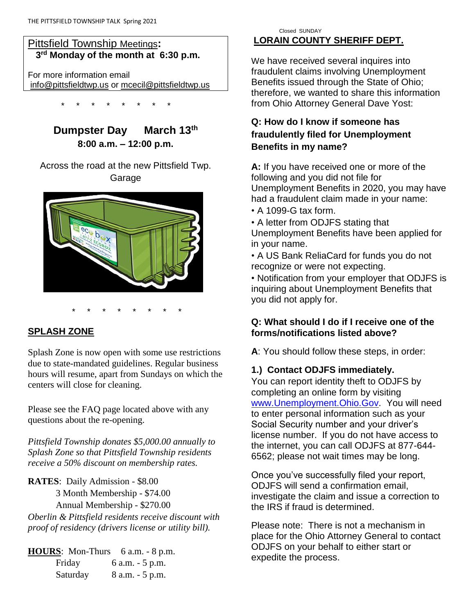## Pittsfield Township Meetings**: 3 rd Monday of the month at 6:30 p.m.**

For more information email [info@pittsfieldtwp.us](mailto:info@pittsfieldtwp.u) or [mcecil@pittsfieldtwp.us](mailto:tdiedrick@pittsfieldtwp.us)

\* \* \* \* \* \* \* \*

**Dumpster Day** March 13<sup>th</sup> **8:00 a.m. – 12:00 p.m.**

Across the road at the new Pittsfield Twp. Garage



# **SPLASH ZONE**

Splash Zone is now open with some use restrictions due to state-mandated guidelines. Regular business hours will resume, apart from Sundays on which the centers will close for cleaning.

\* \* \* \* \* \* \* \*

Please see the FAQ page located above with any questions about the re-opening.

*Pittsfield Township donates \$5,000.00 annually to Splash Zone so that Pittsfield Township residents receive a 50% discount on membership rates.*

## **RATES**: Daily Admission - \$8.00 3 Month Membership - \$74.00 Annual Membership - \$270.00

*Oberlin & Pittsfield residents receive discount with proof of residency (drivers license or utility bill).*

**HOURS**: Mon-Thurs 6 a.m. - 8 p.m. Friday 6 a.m. - 5 p.m. Saturday 8 a.m. - 5 p.m.

#### Closed SUNDAY **LORAIN COUNTY SHERIFF DEPT.**

We have received several inquires into fraudulent claims involving Unemployment Benefits issued through the State of Ohio; therefore, we wanted to share this information from Ohio Attorney General Dave Yost:

# **Q: How do I know if someone has fraudulently filed for Unemployment Benefits in my name?**

**A:** If you have received one or more of the following and you did not file for Unemployment Benefits in 2020, you may have had a fraudulent claim made in your name:

- A 1099-G tax form.
- A letter from ODJFS stating that Unemployment Benefits have been applied for in your name.

• A US Bank ReliaCard for funds you do not recognize or were not expecting.

• Notification from your employer that ODJFS is inquiring about Unemployment Benefits that you did not apply for.

## **Q: What should I do if I receive one of the forms/notifications listed above?**

**A**: You should follow these steps, in order:

# **1.) Contact ODJFS immediately.**

You can report identity theft to ODJFS by completing an online form by visiting [www.Unemployment.Ohio.Gov.](http://www.unemployment.ohio.gov/) You will need to enter personal information such as your Social Security number and your driver's license number. If you do not have access to the internet, you can call ODJFS at 877-644- 6562; please not wait times may be long.

Once you've successfully filed your report, ODJFS will send a confirmation email, investigate the claim and issue a correction to the IRS if fraud is determined.

Please note: There is not a mechanism in place for the Ohio Attorney General to contact ODJFS on your behalf to either start or expedite the process.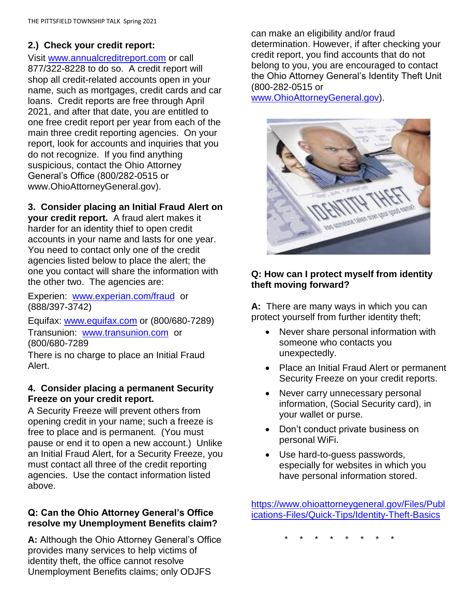## **2.) Check your credit report:**

Visit [www.annualcreditreport.com](http://www.annualcreditreport.com/) or call 877/322-8228 to do so. A credit report will shop all credit-related accounts open in your name, such as mortgages, credit cards and car loans. Credit reports are free through April 2021, and after that date, you are entitled to one free credit report per year from each of the main three credit reporting agencies. On your report, look for accounts and inquiries that you do not recognize. If you find anything suspicious, contact the Ohio Attorney General's Office (800/282-0515 or www.OhioAttorneyGeneral.gov).

#### **3. Consider placing an Initial Fraud Alert on**

**your credit report.** A fraud alert makes it harder for an identity thief to open credit accounts in your name and lasts for one year. You need to contact only one of the credit agencies listed below to place the alert; the one you contact will share the information with the other two. The agencies are:

Experien: [www.experian.com/fraud](http://www.experian.com/fraud) or (888/397-3742)

Equifax: [www.equifax.com](http://www.equifax.com/) or (800/680-7289) Transunion: [www.transunion.com](http://www.transunion.com/) or (800/680-7289

There is no charge to place an Initial Fraud Alert.

#### **4. Consider placing a permanent Security Freeze on your credit report.**

A Security Freeze will prevent others from opening credit in your name; such a freeze is free to place and is permanent. (You must pause or end it to open a new account.) Unlike an Initial Fraud Alert, for a Security Freeze, you must contact all three of the credit reporting agencies. Use the contact information listed above.

#### **Q: Can the Ohio Attorney General's Office resolve my Unemployment Benefits claim?**

**A:** Although the Ohio Attorney General's Office provides many services to help victims of identity theft, the office cannot resolve Unemployment Benefits claims; only ODJFS

can make an eligibility and/or fraud determination. However, if after checking your credit report, you find accounts that do not belong to you, you are encouraged to contact the Ohio Attorney General's Identity Theft Unit (800-282-0515 or

[www.OhioAttorneyGeneral.gov\)](http://www.ohioattorneygeneral.gov/).



### **Q: How can I protect myself from identity theft moving forward?**

**A:** There are many ways in which you can protect yourself from further identity theft;

- Never share personal information with someone who contacts you unexpectedly.
- Place an Initial Fraud Alert or permanent Security Freeze on your credit reports.
- Never carry unnecessary personal information, (Social Security card), in your wallet or purse.
- Don't conduct private business on personal WiFi.
- Use hard-to-guess passwords, especially for websites in which you have personal information stored.

[https://www.ohioattorneygeneral.gov/Files/Publ](https://www.ohioattorneygeneral.gov/Files/Publications-Files/Publications-for-Consumers/Consumer-Quick-Tips/Identity-Theft-Basics?fbclid=IwAR3uJgOF6oqtYaLa9PLTNnUsZmeSdbPufuQwuzs30Gk32Lg1uUWlwbVmPzY) [ications-Files/Quick-Tips/Identity-Theft-Basics](https://www.ohioattorneygeneral.gov/Files/Publications-Files/Publications-for-Consumers/Consumer-Quick-Tips/Identity-Theft-Basics?fbclid=IwAR3uJgOF6oqtYaLa9PLTNnUsZmeSdbPufuQwuzs30Gk32Lg1uUWlwbVmPzY)

\* \* \* \* \* \* \* \*